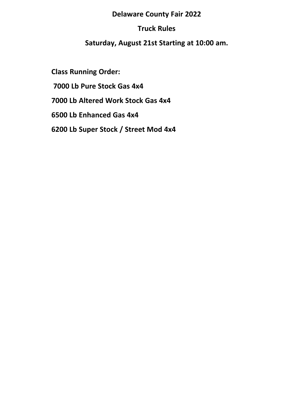## **Delaware County Fair 2022**

# **Truck Rules**

# **Saturday, August 21st Starting at 10:00 am.**

**Class Running Order: 7000 Lb Pure Stock Gas 4x4 7000 Lb Altered Work Stock Gas 4x4 6500 Lb Enhanced Gas 4x4 6200 Lb Super Stock / Street Mod 4x4**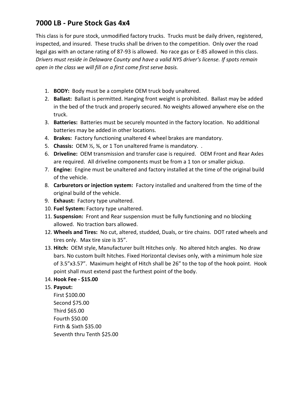# **7000 LB - Pure Stock Gas 4x4**

This class is for pure stock, unmodified factory trucks. Trucks must be daily driven, registered, inspected, and insured. These trucks shall be driven to the competition. Only over the road legal gas with an octane rating of 87-93 is allowed. No race gas or E-85 allowed in this class. *Drivers must reside in Delaware County and have a valid NYS driver's license. If spots remain open in the class we will fill on a first come first serve basis.* 

- 1. **BODY:** Body must be a complete OEM truck body unaltered.
- 2. **Ballast:** Ballast is permitted. Hanging front weight is prohibited. Ballast may be added in the bed of the truck and properly secured. No weights allowed anywhere else on the truck.
- 3. **Batteries:** Batteries must be securely mounted in the factory location. No additional batteries may be added in other locations.
- 4. **Brakes:** Factory functioning unaltered 4 wheel brakes are mandatory.
- 5. **Chassis:** OEM ½, ¾, or 1 Ton unaltered frame is mandatory. .
- 6. **Driveline:** OEM transmission and transfer case is required. OEM Front and Rear Axles are required. All driveline components must be from a 1 ton or smaller pickup.
- 7. **Engine:** Engine must be unaltered and factory installed at the time of the original build of the vehicle.
- 8. **Carburetors or injection system:** Factory installed and unaltered from the time of the original build of the vehicle.
- 9. **Exhaust:** Factory type unaltered.
- 10. **Fuel System:** Factory type unaltered.
- 11. **Suspension:** Front and Rear suspension must be fully functioning and no blocking allowed. No traction bars allowed.
- 12. **Wheels and Tires:** No cut, altered, studded, Duals, or tire chains. DOT rated wheels and tires only. Max tire size is 35".
- 13. **Hitch:** OEM style, Manufacturer built Hitches only. No altered hitch angles. No draw bars. No custom built hitches. Fixed Horizontal clevises only, with a minimum hole size of 3.5"x3.57". Maximum height of Hitch shall be 26" to the top of the hook point. Hook point shall must extend past the furthest point of the body.

## 14. **Hook Fee - \$15.00**

## 15. **Payout:**

First \$100.00 Second \$75.00 Third \$65.00 Fourth \$50.00 Firth & Sixth \$35.00 Seventh thru Tenth \$25.00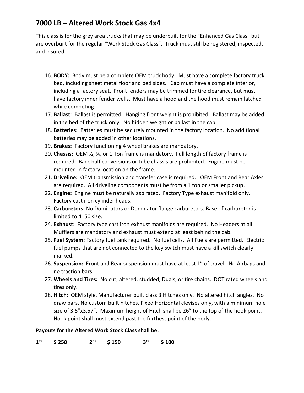# **7000 LB – Altered Work Stock Gas 4x4**

This class is for the grey area trucks that may be underbuilt for the "Enhanced Gas Class" but are overbuilt for the regular "Work Stock Gas Class". Truck must still be registered, inspected, and insured.

- 16. **BODY:** Body must be a complete OEM truck body. Must have a complete factory truck bed, including sheet metal floor and bed sides. Cab must have a complete interior, including a factory seat. Front fenders may be trimmed for tire clearance, but must have factory inner fender wells. Must have a hood and the hood must remain latched while competing.
- 17. **Ballast:** Ballast is permitted. Hanging front weight is prohibited. Ballast may be added in the bed of the truck only. No hidden weight or ballast in the cab.
- 18. **Batteries:** Batteries must be securely mounted in the factory location. No additional batteries may be added in other locations.
- 19. **Brakes:** Factory functioning 4 wheel brakes are mandatory.
- 20. **Chassis:** OEM ½, ¾, or 1 Ton frame is mandatory. Full length of factory frame is required. Back half conversions or tube chassis are prohibited. Engine must be mounted in factory location on the frame.
- 21. **Driveline:** OEM transmission and transfer case is required. OEM Front and Rear Axles are required. All driveline components must be from a 1 ton or smaller pickup.
- 22. **Engine:** Engine must be naturally aspirated. Factory Type exhaust manifold only. Factory cast iron cylinder heads.
- 23. **Carburetors:** No Dominators or Dominator flange carburetors. Base of carburetor is limited to 4150 size.
- 24. **Exhaust:** Factory type cast iron exhaust manifolds are required. No Headers at all. Mufflers are mandatory and exhaust must extend at least behind the cab.
- 25. **Fuel System:** Factory fuel tank required. No fuel cells. All Fuels are permitted. Electric fuel pumps that are not connected to the key switch must have a kill switch clearly marked.
- 26. **Suspension:** Front and Rear suspension must have at least 1" of travel. No Airbags and no traction bars.
- 27. **Wheels and Tires:** No cut, altered, studded, Duals, or tire chains. DOT rated wheels and tires only.
- 28. **Hitch:** OEM style, Manufacturer built class 3 Hitches only. No altered hitch angles. No draw bars. No custom built hitches. Fixed Horizontal clevises only, with a minimum hole size of 3.5"x3.57". Maximum height of Hitch shall be 26" to the top of the hook point. Hook point shall must extend past the furthest point of the body.

## **Payouts for the Altered Work Stock Class shall be:**

**1 st \$ 250 2**  $$150$   $$^{rd}$ **rd \$ 100**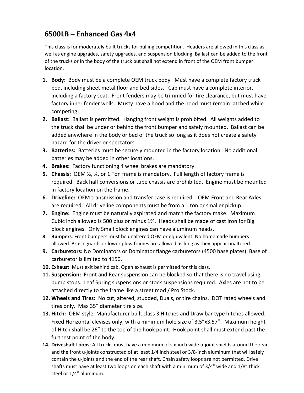## **6500LB – Enhanced Gas 4x4**

This class is for moderately built trucks for pulling competition. Headers are allowed in this class as well as engine upgrades, safety upgrades, and suspension blocking. Ballast can be added to the front of the trucks or in the body of the truck but shall not extend in front of the OEM front bumper location.

- **1. Body:** Body must be a complete OEM truck body. Must have a complete factory truck bed, including sheet metal floor and bed sides. Cab must have a complete interior, including a factory seat. Front fenders may be trimmed for tire clearance, but must have factory inner fender wells. Musty have a hood and the hood must remain latched while competing.
- **2. Ballast:** Ballast is permitted. Hanging front weight is prohibited. All weights added to the truck shall be under or behind the front bumper and safely mounted. Ballast can be added anywhere in the body or bed of the truck so long as it does not create a safety hazard for the driver or spectators.
- **3. Batteries:** Batteries must be securely mounted in the factory location. No additional batteries may be added in other locations.
- **4. Brakes:** Factory functioning 4 wheel brakes are mandatory.
- **5. Chassis:** OEM ½, ¾, or 1 Ton frame is mandatory. Full length of factory frame is required. Back half conversions or tube chassis are prohibited. Engine must be mounted in factory location on the frame.
- **6. Driveline:** OEM transmission and transfer case is required. OEM Front and Rear Axles are required. All driveline components must be from a 1 ton or smaller pickup.
- **7. Engine:** Engine must be naturally aspirated and match the factory make. Maximum Cubic inch allowed is 500 plus or minus 1%. Heads shall be made of cast Iron for Big block engines. Only Small block engines can have aluminum heads.
- **8. Bumpers**: Front bumpers must be unaltered OEM or equivalent. No homemade bumpers allowed. Brush guards or lower plow frames are allowed as long as they appear unaltered.
- **9. Carburetors:** No Dominators or Dominator flange carburetors (4500 base plates). Base of carburetor is limited to 4150.
- **10. Exhaust**: Must exit behind cab. Open exhaust is permitted for this class.
- **11. Suspension:** Front and Rear suspension can be blocked so that there is no travel using bump stops. Leaf Spring suspensions or stock suspensions required. Axles are not to be attached directly to the frame like a street mod / Pro Stock.
- **12. Wheels and Tires:** No cut, altered, studded, Duals, or tire chains. DOT rated wheels and tires only. Max 35" diameter tire size.
- **13. Hitch:** OEM style, Manufacturer built class 3 Hitches and Draw bar type hitches allowed. Fixed Horizontal clevises only, with a minimum hole size of 3.5"x3.57". Maximum height of Hitch shall be 26" to the top of the hook point. Hook point shall must extend past the furthest point of the body.
- **14. Driveshaft Loops**: All trucks must have a minimum of six-inch wide u-joint shields around the rear and the front u-joints constructed of at least 1/4 inch steel or 3/8-inch aluminum that will safely contain the u-joints and the end of the rear shaft. Chain safety loops are not permitted. Drive shafts must have at least two loops on each shaft with a minimum of 3/4" wide and 1/8" thick steel or 1/4" aluminum.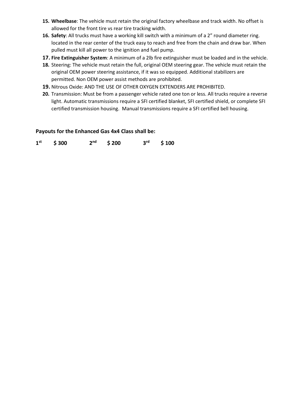- **15. Wheelbase**: The vehicle must retain the original factory wheelbase and track width. No offset is allowed for the front tire vs rear tire tracking width.
- **16. Safety**: All trucks must have a working kill switch with a minimum of a 2" round diameter ring. located in the rear center of the truck easy to reach and free from the chain and draw bar. When pulled must kill all power to the ignition and fuel pump.
- **17. Fire Extinguisher System**: A minimum of a 2lb fire extinguisher must be loaded and in the vehicle.
- **18.** Steering: The vehicle must retain the full, original OEM steering gear. The vehicle must retain the original OEM power steering assistance, if it was so equipped. Additional stabilizers are permitted. Non OEM power assist methods are prohibited.
- **19.** Nitrous Oxide: AND THE USE OF OTHER OXYGEN EXTENDERS ARE PROHIBITED.
- **20.** Transmission: Must be from a passenger vehicle rated one ton or less. All trucks require a reverse light. Automatic transmissions require a SFI certified blanket, SFI certified shield, or complete SFI certified transmission housing. Manual transmissions require a SFI certified bell housing.

#### **Payouts for the Enhanced Gas 4x4 Class shall be:**

**1**  $$300$   $2<sup>nd</sup>$  $$ 200$   $$^{rd}$ **rd \$ 100**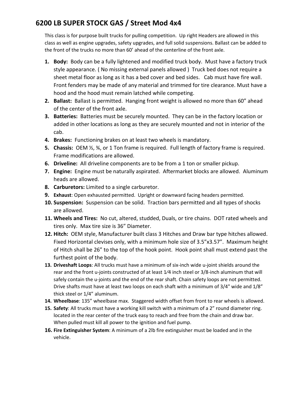# **6200 LB SUPER STOCK GAS / Street Mod 4x4**

This class is for purpose built trucks for pulling competition. Up right Headers are allowed in this class as well as engine upgrades, safety upgrades, and full solid suspensions. Ballast can be added to the front of the trucks no more than 60' ahead of the centerline of the front axle.

- **1. Body:** Body can be a fully lightened and modified truck body. Must have a factory truck style appearance. ( No missing external panels allowed ) Truck bed does not require a sheet metal floor as long as it has a bed cover and bed sides. Cab must have fire wall. Front fenders may be made of any material and trimmed for tire clearance. Must have a hood and the hood must remain latched while competing.
- **2. Ballast:** Ballast is permitted. Hanging front weight is allowed no more than 60" ahead of the center of the front axle.
- **3. Batteries:** Batteries must be securely mounted. They can be in the factory location or added in other locations as long as they are securely mounted and not in interior of the cab.
- **4. Brakes:** Functioning brakes on at least two wheels is mandatory.
- **5. Chassis:** OEM ½, ¾, or 1 Ton frame is required. Full length of factory frame is required. Frame modifications are allowed.
- **6. Driveline:** All driveline components are to be from a 1 ton or smaller pickup.
- **7. Engine:** Engine must be naturally aspirated. Aftermarket blocks are allowed. Aluminum heads are allowed.
- **8. Carburetors:** Limited to a single carburetor.
- **9. Exhaust**: Open exhausted permitted. Upright or downward facing headers permitted.
- **10. Suspension:** Suspension can be solid. Traction bars permitted and all types of shocks are allowed.
- **11. Wheels and Tires:** No cut, altered, studded, Duals, or tire chains. DOT rated wheels and tires only. Max tire size is 36" Diameter.
- **12. Hitch:** OEM style, Manufacturer built class 3 Hitches and Draw bar type hitches allowed. Fixed Horizontal clevises only, with a minimum hole size of 3.5"x3.57". Maximum height of Hitch shall be 26" to the top of the hook point. Hook point shall must extend past the furthest point of the body.
- **13. Driveshaft Loops**: All trucks must have a minimum of six-inch wide u-joint shields around the rear and the front u-joints constructed of at least 1⁄4 inch steel or 3/8-inch aluminum that will safely contain the u-joints and the end of the rear shaft. Chain safety loops are not permitted. Drive shafts must have at least two loops on each shaft with a minimum of 3/4" wide and 1/8" thick steel or 1/4" aluminum.
- **14. Wheelbase**: 135" wheelbase max. Staggered width offset from front to rear wheels is allowed.
- **15. Safety**: All trucks must have a working kill switch with a minimum of a 2" round diameter ring. located in the rear center of the truck easy to reach and free from the chain and draw bar. When pulled must kill all power to the ignition and fuel pump.
- **16. Fire Extinguisher System**: A minimum of a 2lb fire extinguisher must be loaded and in the vehicle.